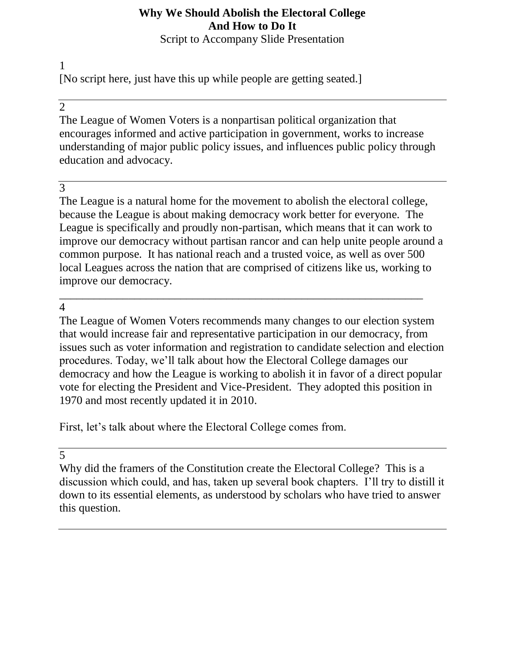# **Why We Should Abolish the Electoral College And How to Do It**

Script to Accompany Slide Presentation

1 [No script here, just have this up while people are getting seated.]

# 2

The League of Women Voters is a nonpartisan political organization that encourages informed and active participation in government, works to increase understanding of major public policy issues, and influences public policy through education and advocacy.

# 3

The League is a natural home for the movement to abolish the electoral college, because the League is about making democracy work better for everyone. The League is specifically and proudly non-partisan, which means that it can work to improve our democracy without partisan rancor and can help unite people around a common purpose. It has national reach and a trusted voice, as well as over 500 local Leagues across the nation that are comprised of citizens like us, working to improve our democracy.

\_\_\_\_\_\_\_\_\_\_\_\_\_\_\_\_\_\_\_\_\_\_\_\_\_\_\_\_\_\_\_\_\_\_\_\_\_\_\_\_\_\_\_\_\_\_\_\_\_\_\_\_\_\_\_\_\_\_\_\_\_\_\_

### 4

The League of Women Voters recommends many changes to our election system that would increase fair and representative participation in our democracy, from issues such as voter information and registration to candidate selection and election procedures. Today, we'll talk about how the Electoral College damages our democracy and how the League is working to abolish it in favor of a direct popular vote for electing the President and Vice-President. They adopted this position in 1970 and most recently updated it in 2010.

First, let's talk about where the Electoral College comes from.

5

Why did the framers of the Constitution create the Electoral College? This is a discussion which could, and has, taken up several book chapters. I'll try to distill it down to its essential elements, as understood by scholars who have tried to answer this question.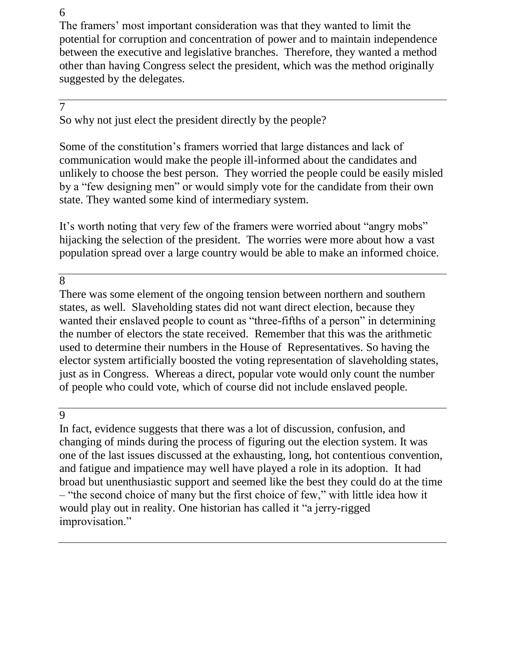The framers' most important consideration was that they wanted to limit the potential for corruption and concentration of power and to maintain independence between the executive and legislative branches. Therefore, they wanted a method other than having Congress select the president, which was the method originally suggested by the delegates.

# 7

So why not just elect the president directly by the people?

Some of the constitution's framers worried that large distances and lack of communication would make the people ill-informed about the candidates and unlikely to choose the best person. They worried the people could be easily misled by a "few designing men" or would simply vote for the candidate from their own state. They wanted some kind of intermediary system.

It's worth noting that very few of the framers were worried about "angry mobs" hijacking the selection of the president. The worries were more about how a vast population spread over a large country would be able to make an informed choice.

8

There was some element of the ongoing tension between northern and southern states, as well. Slaveholding states did not want direct election, because they wanted their enslaved people to count as "three-fifths of a person" in determining the number of electors the state received. Remember that this was the arithmetic used to determine their numbers in the House of Representatives. So having the elector system artificially boosted the voting representation of slaveholding states, just as in Congress. Whereas a direct, popular vote would only count the number of people who could vote, which of course did not include enslaved people.

 $\overline{Q}$ 

In fact, evidence suggests that there was a lot of discussion, confusion, and changing of minds during the process of figuring out the election system. It was one of the last issues discussed at the exhausting, long, hot contentious convention, and fatigue and impatience may well have played a role in its adoption. It had broad but unenthusiastic support and seemed like the best they could do at the time – "the second choice of many but the first choice of few," with little idea how it would play out in reality. One historian has called it "a jerry-rigged improvisation."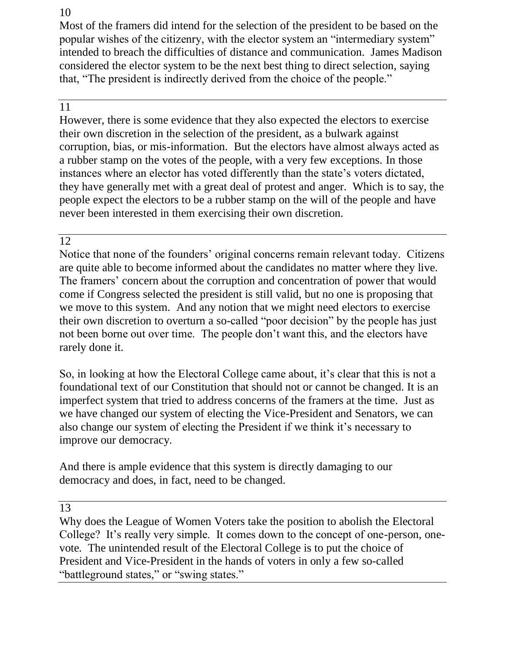Most of the framers did intend for the selection of the president to be based on the popular wishes of the citizenry, with the elector system an "intermediary system" intended to breach the difficulties of distance and communication. James Madison considered the elector system to be the next best thing to direct selection, saying that, "The president is indirectly derived from the choice of the people."

# 11

However, there is some evidence that they also expected the electors to exercise their own discretion in the selection of the president, as a bulwark against corruption, bias, or mis-information. But the electors have almost always acted as a rubber stamp on the votes of the people, with a very few exceptions. In those instances where an elector has voted differently than the state's voters dictated, they have generally met with a great deal of protest and anger. Which is to say, the people expect the electors to be a rubber stamp on the will of the people and have never been interested in them exercising their own discretion.

#### 12

Notice that none of the founders' original concerns remain relevant today. Citizens are quite able to become informed about the candidates no matter where they live. The framers' concern about the corruption and concentration of power that would come if Congress selected the president is still valid, but no one is proposing that we move to this system. And any notion that we might need electors to exercise their own discretion to overturn a so-called "poor decision" by the people has just not been borne out over time. The people don't want this, and the electors have rarely done it.

So, in looking at how the Electoral College came about, it's clear that this is not a foundational text of our Constitution that should not or cannot be changed. It is an imperfect system that tried to address concerns of the framers at the time. Just as we have changed our system of electing the Vice-President and Senators, we can also change our system of electing the President if we think it's necessary to improve our democracy.

And there is ample evidence that this system is directly damaging to our democracy and does, in fact, need to be changed.

13

Why does the League of Women Voters take the position to abolish the Electoral College? It's really very simple. It comes down to the concept of one-person, onevote. The unintended result of the Electoral College is to put the choice of President and Vice-President in the hands of voters in only a few so-called "battleground states," or "swing states."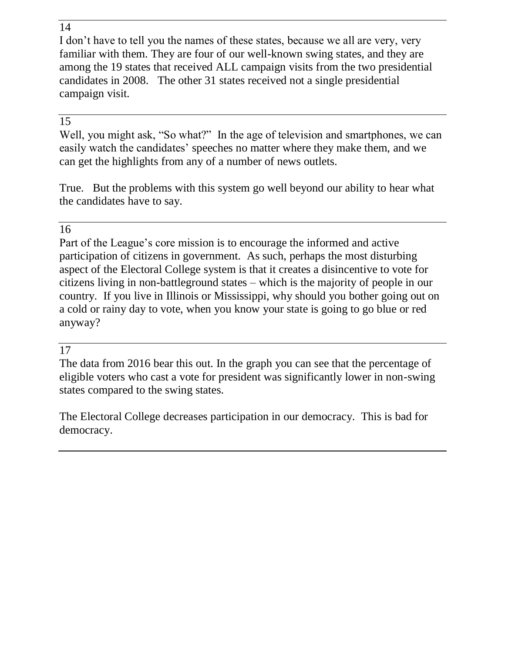I don't have to tell you the names of these states, because we all are very, very familiar with them. They are four of our well-known swing states, and they are among the 19 states that received ALL campaign visits from the two presidential candidates in 2008. The other 31 states received not a single presidential campaign visit.

# 15

Well, you might ask, "So what?" In the age of television and smartphones, we can easily watch the candidates' speeches no matter where they make them, and we can get the highlights from any of a number of news outlets.

True. But the problems with this system go well beyond our ability to hear what the candidates have to say.

# 16

Part of the League's core mission is to encourage the informed and active participation of citizens in government. As such, perhaps the most disturbing aspect of the Electoral College system is that it creates a disincentive to vote for citizens living in non-battleground states – which is the majority of people in our country. If you live in Illinois or Mississippi, why should you bother going out on a cold or rainy day to vote, when you know your state is going to go blue or red anyway?

# 17

The data from 2016 bear this out. In the graph you can see that the percentage of eligible voters who cast a vote for president was significantly lower in non-swing states compared to the swing states.

The Electoral College decreases participation in our democracy. This is bad for democracy.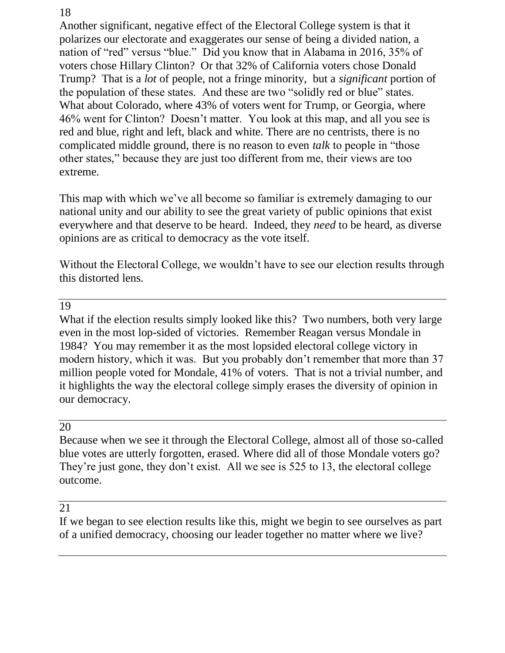Another significant, negative effect of the Electoral College system is that it polarizes our electorate and exaggerates our sense of being a divided nation, a nation of "red" versus "blue." Did you know that in Alabama in 2016, 35% of voters chose Hillary Clinton? Or that 32% of California voters chose Donald Trump? That is a *lot* of people, not a fringe minority, but a *significant* portion of the population of these states. And these are two "solidly red or blue" states. What about Colorado, where 43% of voters went for Trump, or Georgia, where 46% went for Clinton? Doesn't matter. You look at this map, and all you see is red and blue, right and left, black and white. There are no centrists, there is no complicated middle ground, there is no reason to even *talk* to people in "those other states," because they are just too different from me, their views are too extreme.

This map with which we've all become so familiar is extremely damaging to our national unity and our ability to see the great variety of public opinions that exist everywhere and that deserve to be heard. Indeed, they *need* to be heard, as diverse opinions are as critical to democracy as the vote itself.

Without the Electoral College, we wouldn't have to see our election results through this distorted lens.

### 19

What if the election results simply looked like this? Two numbers, both very large even in the most lop-sided of victories. Remember Reagan versus Mondale in 1984? You may remember it as the most lopsided electoral college victory in modern history, which it was. But you probably don't remember that more than 37 million people voted for Mondale, 41% of voters. That is not a trivial number, and it highlights the way the electoral college simply erases the diversity of opinion in our democracy.

#### 20

Because when we see it through the Electoral College, almost all of those so-called blue votes are utterly forgotten, erased. Where did all of those Mondale voters go? They're just gone, they don't exist. All we see is 525 to 13, the electoral college outcome.

#### 21

If we began to see election results like this, might we begin to see ourselves as part of a unified democracy, choosing our leader together no matter where we live?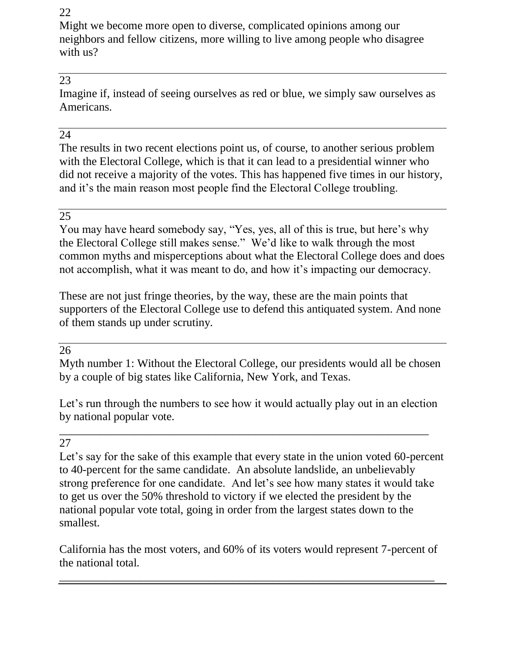Might we become more open to diverse, complicated opinions among our neighbors and fellow citizens, more willing to live among people who disagree with us?

# 23

Imagine if, instead of seeing ourselves as red or blue, we simply saw ourselves as Americans.

# 24

The results in two recent elections point us, of course, to another serious problem with the Electoral College, which is that it can lead to a presidential winner who did not receive a majority of the votes. This has happened five times in our history, and it's the main reason most people find the Electoral College troubling.

#### 25

You may have heard somebody say, "Yes, yes, all of this is true, but here's why the Electoral College still makes sense." We'd like to walk through the most common myths and misperceptions about what the Electoral College does and does not accomplish, what it was meant to do, and how it's impacting our democracy.

These are not just fringe theories, by the way, these are the main points that supporters of the Electoral College use to defend this antiquated system. And none of them stands up under scrutiny.

#### 26

Myth number 1: Without the Electoral College, our presidents would all be chosen by a couple of big states like California, New York, and Texas.

Let's run through the numbers to see how it would actually play out in an election by national popular vote.

\_\_\_\_\_\_\_\_\_\_\_\_\_\_\_\_\_\_\_\_\_\_\_\_\_\_\_\_\_\_\_\_\_\_\_\_\_\_\_\_\_\_\_\_\_\_\_\_\_\_\_\_\_\_\_\_\_\_\_\_\_\_\_\_

#### 27

Let's say for the sake of this example that every state in the union voted 60-percent to 40-percent for the same candidate. An absolute landslide, an unbelievably strong preference for one candidate. And let's see how many states it would take to get us over the 50% threshold to victory if we elected the president by the national popular vote total, going in order from the largest states down to the smallest.

California has the most voters, and 60% of its voters would represent 7-percent of the national total.

\_\_\_\_\_\_\_\_\_\_\_\_\_\_\_\_\_\_\_\_\_\_\_\_\_\_\_\_\_\_\_\_\_\_\_\_\_\_\_\_\_\_\_\_\_\_\_\_\_\_\_\_\_\_\_\_\_\_\_\_\_\_\_\_\_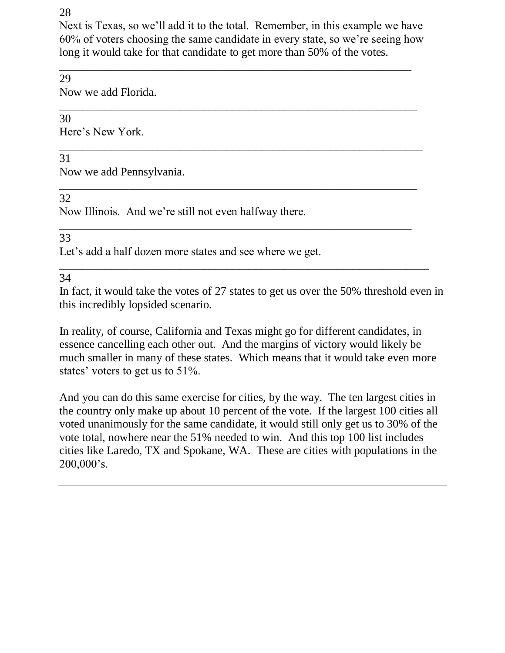Next is Texas, so we'll add it to the total. Remember, in this example we have 60% of voters choosing the same candidate in every state, so we're seeing how long it would take for that candidate to get more than 50% of the votes.

\_\_\_\_\_\_\_\_\_\_\_\_\_\_\_\_\_\_\_\_\_\_\_\_\_\_\_\_\_\_\_\_\_\_\_\_\_\_\_\_\_\_\_\_\_\_\_\_\_\_\_\_\_\_\_\_\_\_\_\_\_

\_\_\_\_\_\_\_\_\_\_\_\_\_\_\_\_\_\_\_\_\_\_\_\_\_\_\_\_\_\_\_\_\_\_\_\_\_\_\_\_\_\_\_\_\_\_\_\_\_\_\_\_\_\_\_\_\_\_\_\_\_\_\_

\_\_\_\_\_\_\_\_\_\_\_\_\_\_\_\_\_\_\_\_\_\_\_\_\_\_\_\_\_\_\_\_\_\_\_\_\_\_\_\_\_\_\_\_\_\_\_\_\_\_\_\_\_\_\_\_\_\_\_\_\_\_

\_\_\_\_\_\_\_\_\_\_\_\_\_\_\_\_\_\_\_\_\_\_\_\_\_\_\_\_\_\_\_\_\_\_\_\_\_\_\_\_\_\_\_\_\_\_\_\_\_\_\_\_\_\_\_\_\_\_\_\_\_

### 29

Now we add Florida.

#### \_\_\_\_\_\_\_\_\_\_\_\_\_\_\_\_\_\_\_\_\_\_\_\_\_\_\_\_\_\_\_\_\_\_\_\_\_\_\_\_\_\_\_\_\_\_\_\_\_\_\_\_\_\_\_\_\_\_\_\_\_\_ 30

Here's New York.

# 31

Now we add Pennsylvania.

# 32

Now Illinois. And we're still not even halfway there.

# 33

Let's add a half dozen more states and see where we get.

34

In fact, it would take the votes of 27 states to get us over the 50% threshold even in this incredibly lopsided scenario.

\_\_\_\_\_\_\_\_\_\_\_\_\_\_\_\_\_\_\_\_\_\_\_\_\_\_\_\_\_\_\_\_\_\_\_\_\_\_\_\_\_\_\_\_\_\_\_\_\_\_\_\_\_\_\_\_\_\_\_\_\_\_\_\_

In reality, of course, California and Texas might go for different candidates, in essence cancelling each other out. And the margins of victory would likely be much smaller in many of these states. Which means that it would take even more states' voters to get us to 51%.

And you can do this same exercise for cities, by the way. The ten largest cities in the country only make up about 10 percent of the vote. If the largest 100 cities all voted unanimously for the same candidate, it would still only get us to 30% of the vote total, nowhere near the 51% needed to win. And this top 100 list includes cities like Laredo, TX and Spokane, WA. These are cities with populations in the 200,000's.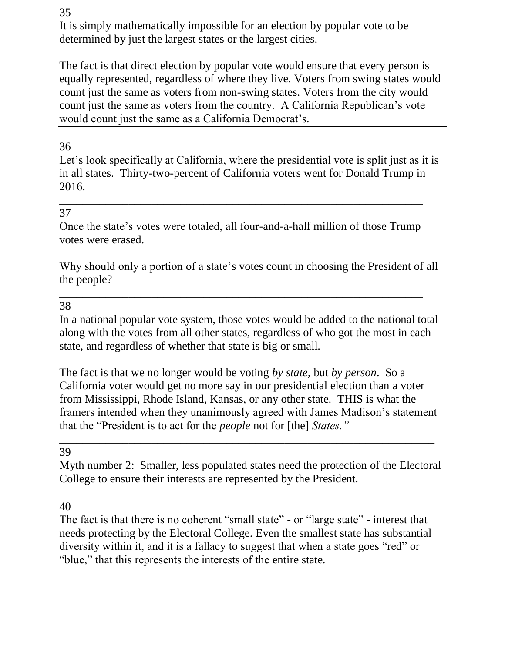It is simply mathematically impossible for an election by popular vote to be determined by just the largest states or the largest cities.

The fact is that direct election by popular vote would ensure that every person is equally represented, regardless of where they live. Voters from swing states would count just the same as voters from non-swing states. Voters from the city would count just the same as voters from the country. A California Republican's vote would count just the same as a California Democrat's.

# 36

Let's look specifically at California, where the presidential vote is split just as it is in all states. Thirty-two-percent of California voters went for Donald Trump in 2016.

### 37

Once the state's votes were totaled, all four-and-a-half million of those Trump votes were erased.

\_\_\_\_\_\_\_\_\_\_\_\_\_\_\_\_\_\_\_\_\_\_\_\_\_\_\_\_\_\_\_\_\_\_\_\_\_\_\_\_\_\_\_\_\_\_\_\_\_\_\_\_\_\_\_\_\_\_\_\_\_\_\_

Why should only a portion of a state's votes count in choosing the President of all the people?

\_\_\_\_\_\_\_\_\_\_\_\_\_\_\_\_\_\_\_\_\_\_\_\_\_\_\_\_\_\_\_\_\_\_\_\_\_\_\_\_\_\_\_\_\_\_\_\_\_\_\_\_\_\_\_\_\_\_\_\_\_\_\_

#### 38

In a national popular vote system, those votes would be added to the national total along with the votes from all other states, regardless of who got the most in each state, and regardless of whether that state is big or small.

The fact is that we no longer would be voting *by state*, but *by person*. So a California voter would get no more say in our presidential election than a voter from Mississippi, Rhode Island, Kansas, or any other state. THIS is what the framers intended when they unanimously agreed with James Madison's statement that the "President is to act for the *people* not for [the] *States."* 

39

Myth number 2: Smaller, less populated states need the protection of the Electoral College to ensure their interests are represented by the President.

\_\_\_\_\_\_\_\_\_\_\_\_\_\_\_\_\_\_\_\_\_\_\_\_\_\_\_\_\_\_\_\_\_\_\_\_\_\_\_\_\_\_\_\_\_\_\_\_\_\_\_\_\_\_\_\_\_\_\_\_\_\_\_\_\_

40

The fact is that there is no coherent "small state" - or "large state" - interest that needs protecting by the Electoral College. Even the smallest state has substantial diversity within it, and it is a fallacy to suggest that when a state goes "red" or "blue," that this represents the interests of the entire state.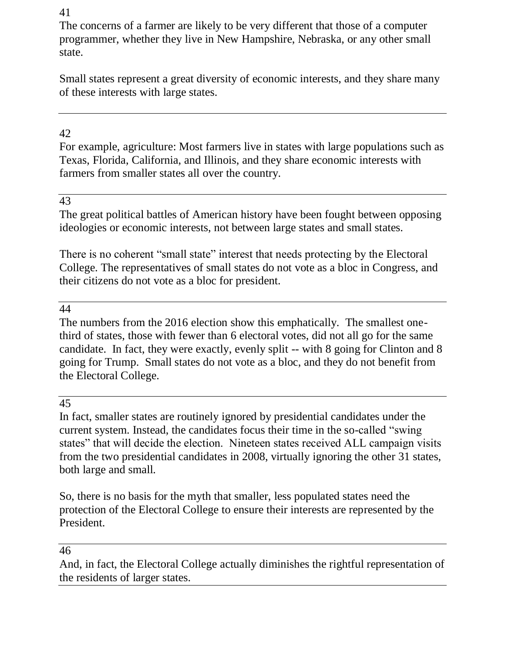The concerns of a farmer are likely to be very different that those of a computer programmer, whether they live in New Hampshire, Nebraska, or any other small state.

Small states represent a great diversity of economic interests, and they share many of these interests with large states.

# 42

For example, agriculture: Most farmers live in states with large populations such as Texas, Florida, California, and Illinois, and they share economic interests with farmers from smaller states all over the country.

### 43

The great political battles of American history have been fought between opposing ideologies or economic interests, not between large states and small states.

There is no coherent "small state" interest that needs protecting by the Electoral College. The representatives of small states do not vote as a bloc in Congress, and their citizens do not vote as a bloc for president.

#### 44

The numbers from the 2016 election show this emphatically. The smallest onethird of states, those with fewer than 6 electoral votes, did not all go for the same candidate. In fact, they were exactly, evenly split -- with 8 going for Clinton and 8 going for Trump. Small states do not vote as a bloc, and they do not benefit from the Electoral College.

#### 45

In fact, smaller states are routinely ignored by presidential candidates under the current system. Instead, the candidates focus their time in the so-called "swing states" that will decide the election. Nineteen states received ALL campaign visits from the two presidential candidates in 2008, virtually ignoring the other 31 states, both large and small.

So, there is no basis for the myth that smaller, less populated states need the protection of the Electoral College to ensure their interests are represented by the President.

#### 46

And, in fact, the Electoral College actually diminishes the rightful representation of the residents of larger states.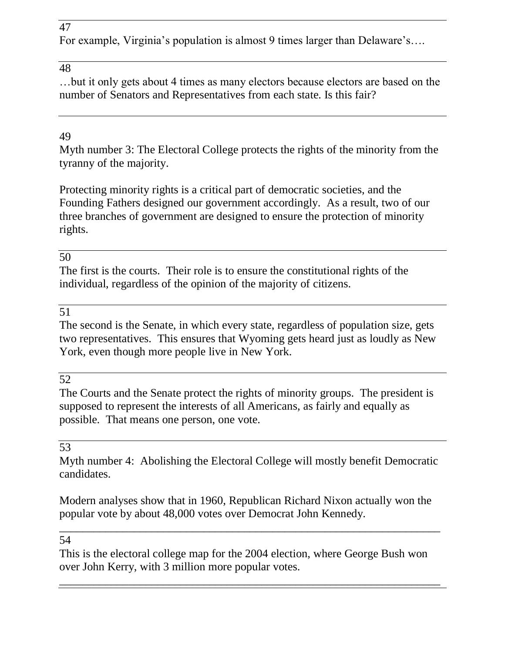For example, Virginia's population is almost 9 times larger than Delaware's….

# 48

…but it only gets about 4 times as many electors because electors are based on the number of Senators and Representatives from each state. Is this fair?

# 49

Myth number 3: The Electoral College protects the rights of the minority from the tyranny of the majority.

Protecting minority rights is a critical part of democratic societies, and the Founding Fathers designed our government accordingly. As a result, two of our three branches of government are designed to ensure the protection of minority rights.

# 50

The first is the courts. Their role is to ensure the constitutional rights of the individual, regardless of the opinion of the majority of citizens.

# 51

The second is the Senate, in which every state, regardless of population size, gets two representatives. This ensures that Wyoming gets heard just as loudly as New York, even though more people live in New York.

# 52

The Courts and the Senate protect the rights of minority groups. The president is supposed to represent the interests of all Americans, as fairly and equally as possible. That means one person, one vote.

### 53

Myth number 4: Abolishing the Electoral College will mostly benefit Democratic candidates.

Modern analyses show that in 1960, Republican Richard Nixon actually won the popular vote by about 48,000 votes over Democrat John Kennedy.

\_\_\_\_\_\_\_\_\_\_\_\_\_\_\_\_\_\_\_\_\_\_\_\_\_\_\_\_\_\_\_\_\_\_\_\_\_\_\_\_\_\_\_\_\_\_\_\_\_\_\_\_\_\_\_\_\_\_\_\_\_\_\_\_\_\_

### 54

This is the electoral college map for the 2004 election, where George Bush won over John Kerry, with 3 million more popular votes.

\_\_\_\_\_\_\_\_\_\_\_\_\_\_\_\_\_\_\_\_\_\_\_\_\_\_\_\_\_\_\_\_\_\_\_\_\_\_\_\_\_\_\_\_\_\_\_\_\_\_\_\_\_\_\_\_\_\_\_\_\_\_\_\_\_\_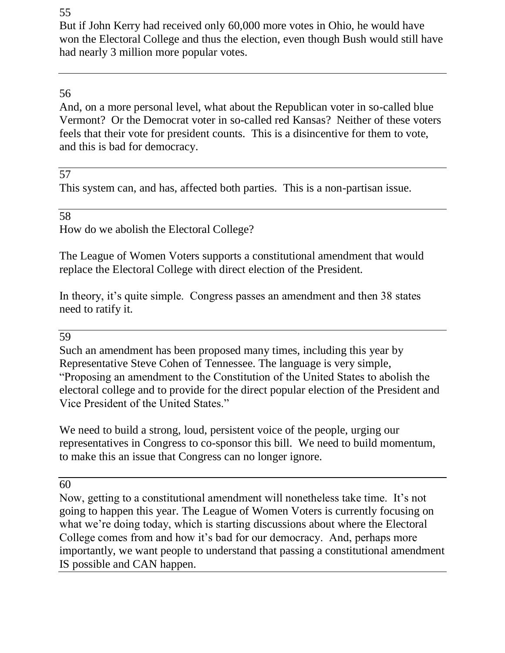But if John Kerry had received only 60,000 more votes in Ohio, he would have won the Electoral College and thus the election, even though Bush would still have had nearly 3 million more popular votes.

# 56

And, on a more personal level, what about the Republican voter in so-called blue Vermont? Or the Democrat voter in so-called red Kansas? Neither of these voters feels that their vote for president counts. This is a disincentive for them to vote, and this is bad for democracy.

### 57

This system can, and has, affected both parties. This is a non-partisan issue.

58

How do we abolish the Electoral College?

The League of Women Voters supports a constitutional amendment that would replace the Electoral College with direct election of the President.

In theory, it's quite simple. Congress passes an amendment and then 38 states need to ratify it.

#### 59

Such an amendment has been proposed many times, including this year by Representative Steve Cohen of Tennessee. The language is very simple, "Proposing an amendment to the Constitution of the United States to abolish the electoral college and to provide for the direct popular election of the President and Vice President of the United States."

We need to build a strong, loud, persistent voice of the people, urging our representatives in Congress to co-sponsor this bill. We need to build momentum, to make this an issue that Congress can no longer ignore.

60

Now, getting to a constitutional amendment will nonetheless take time. It's not going to happen this year. The League of Women Voters is currently focusing on what we're doing today, which is starting discussions about where the Electoral College comes from and how it's bad for our democracy. And, perhaps more importantly, we want people to understand that passing a constitutional amendment IS possible and CAN happen.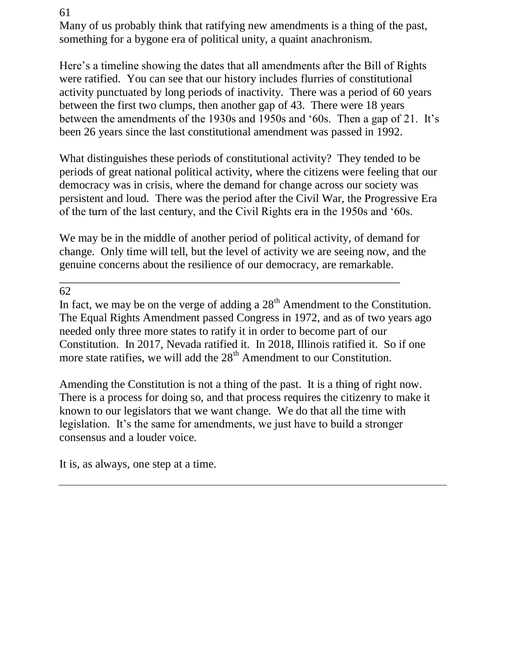Many of us probably think that ratifying new amendments is a thing of the past, something for a bygone era of political unity, a quaint anachronism.

Here's a timeline showing the dates that all amendments after the Bill of Rights were ratified. You can see that our history includes flurries of constitutional activity punctuated by long periods of inactivity. There was a period of 60 years between the first two clumps, then another gap of 43. There were 18 years between the amendments of the 1930s and 1950s and '60s. Then a gap of 21. It's been 26 years since the last constitutional amendment was passed in 1992.

What distinguishes these periods of constitutional activity? They tended to be periods of great national political activity, where the citizens were feeling that our democracy was in crisis, where the demand for change across our society was persistent and loud. There was the period after the Civil War, the Progressive Era of the turn of the last century, and the Civil Rights era in the 1950s and '60s.

We may be in the middle of another period of political activity, of demand for change. Only time will tell, but the level of activity we are seeing now, and the genuine concerns about the resilience of our democracy, are remarkable.

\_\_\_\_\_\_\_\_\_\_\_\_\_\_\_\_\_\_\_\_\_\_\_\_\_\_\_\_\_\_\_\_\_\_\_\_\_\_\_\_\_\_\_\_\_\_\_\_\_\_\_\_\_\_\_\_\_\_\_

62

In fact, we may be on the verge of adding a  $28<sup>th</sup>$  Amendment to the Constitution. The Equal Rights Amendment passed Congress in 1972, and as of two years ago needed only three more states to ratify it in order to become part of our Constitution. In 2017, Nevada ratified it. In 2018, Illinois ratified it. So if one more state ratifies, we will add the  $28<sup>th</sup>$  Amendment to our Constitution.

Amending the Constitution is not a thing of the past. It is a thing of right now. There is a process for doing so, and that process requires the citizenry to make it known to our legislators that we want change. We do that all the time with legislation. It's the same for amendments, we just have to build a stronger consensus and a louder voice.

It is, as always, one step at a time.

61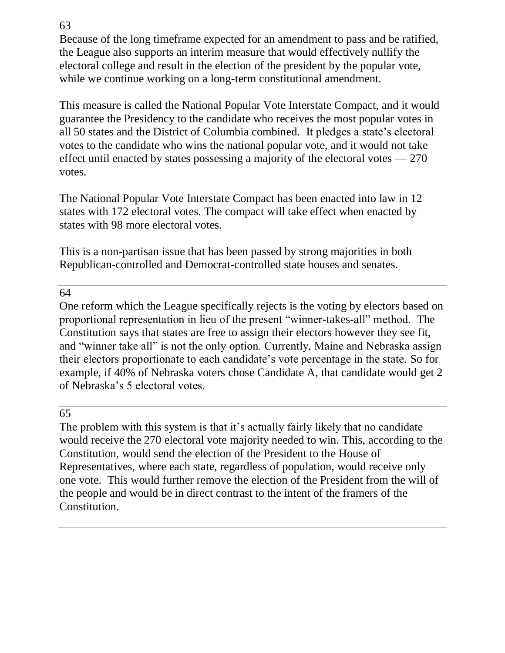Because of the long timeframe expected for an amendment to pass and be ratified, the League also supports an interim measure that would effectively nullify the electoral college and result in the election of the president by the popular vote, while we continue working on a long-term constitutional amendment.

This measure is called the National Popular Vote Interstate Compact, and it would guarantee the Presidency to the candidate who receives the most popular votes in all 50 states and the District of Columbia combined. It pledges a state's electoral votes to the candidate who wins the national popular vote, and it would not take effect until enacted by states possessing a majority of the electoral votes — 270 votes.

The National Popular Vote Interstate Compact has been enacted into law in 12 states with 172 electoral votes. The compact will take effect when enacted by states with 98 more electoral votes.

This is a non-partisan issue that has been passed by strong majorities in both Republican-controlled and Democrat-controlled state houses and senates.

### 64

One reform which the League specifically rejects is the voting by electors based on proportional representation in lieu of the present "winner-takes-all" method. The Constitution says that states are free to assign their electors however they see fit, and "winner take all" is not the only option. Currently, Maine and Nebraska assign their electors proportionate to each candidate's vote percentage in the state. So for example, if 40% of Nebraska voters chose Candidate A, that candidate would get 2 of Nebraska's 5 electoral votes.

# 65

The problem with this system is that it's actually fairly likely that no candidate would receive the 270 electoral vote majority needed to win. This, according to the Constitution, would send the election of the President to the House of Representatives, where each state, regardless of population, would receive only one vote. This would further remove the election of the President from the will of the people and would be in direct contrast to the intent of the framers of the Constitution.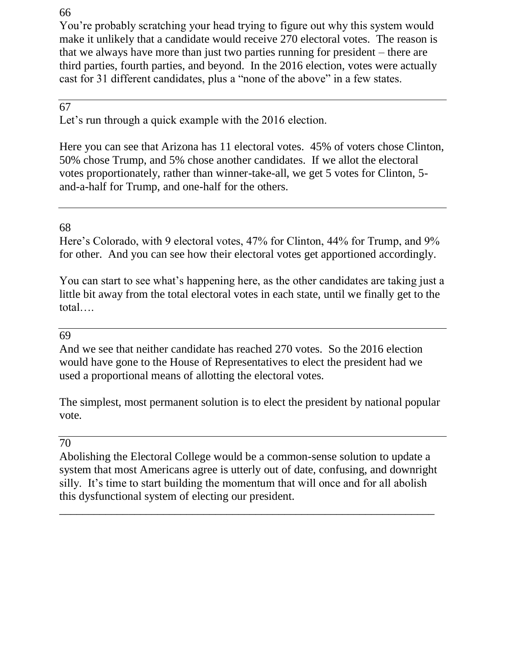You're probably scratching your head trying to figure out why this system would make it unlikely that a candidate would receive 270 electoral votes. The reason is that we always have more than just two parties running for president – there are third parties, fourth parties, and beyond. In the 2016 election, votes were actually cast for 31 different candidates, plus a "none of the above" in a few states.

# 67

Let's run through a quick example with the 2016 election.

Here you can see that Arizona has 11 electoral votes. 45% of voters chose Clinton, 50% chose Trump, and 5% chose another candidates. If we allot the electoral votes proportionately, rather than winner-take-all, we get 5 votes for Clinton, 5 and-a-half for Trump, and one-half for the others.

### 68

Here's Colorado, with 9 electoral votes, 47% for Clinton, 44% for Trump, and 9% for other. And you can see how their electoral votes get apportioned accordingly.

You can start to see what's happening here, as the other candidates are taking just a little bit away from the total electoral votes in each state, until we finally get to the total….

#### 69

And we see that neither candidate has reached 270 votes. So the 2016 election would have gone to the House of Representatives to elect the president had we used a proportional means of allotting the electoral votes.

The simplest, most permanent solution is to elect the president by national popular vote.

#### 70

Abolishing the Electoral College would be a common-sense solution to update a system that most Americans agree is utterly out of date, confusing, and downright silly. It's time to start building the momentum that will once and for all abolish this dysfunctional system of electing our president.

\_\_\_\_\_\_\_\_\_\_\_\_\_\_\_\_\_\_\_\_\_\_\_\_\_\_\_\_\_\_\_\_\_\_\_\_\_\_\_\_\_\_\_\_\_\_\_\_\_\_\_\_\_\_\_\_\_\_\_\_\_\_\_\_\_